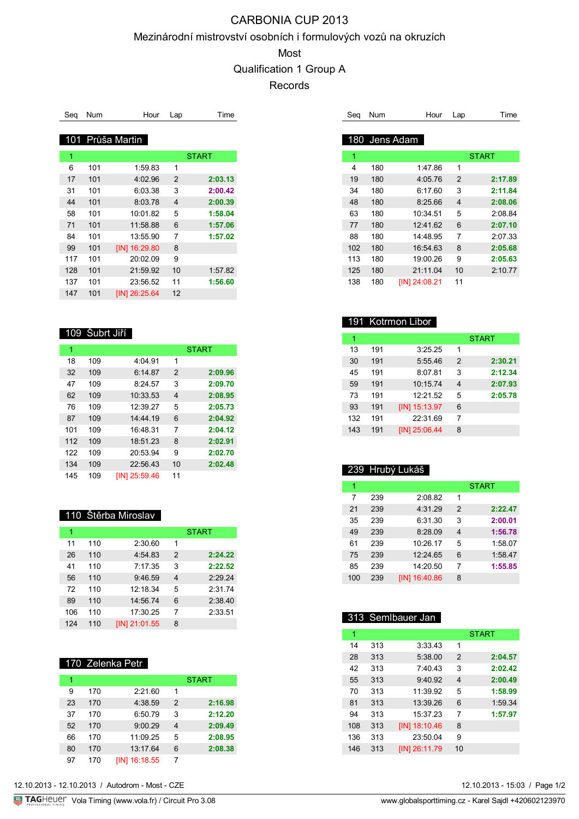# CARBONIA CUP 2013

### Mezinárodní mistrovství osobních i formulových vozů na okruzích

### Most

Qualification 1 Group A

Records

| Sea | Num | Hour             | Lap                     | Time    |
|-----|-----|------------------|-------------------------|---------|
|     |     | 101 Průša Martin |                         |         |
| 1   |     |                  |                         | START   |
| 6   | 101 | 1:59.83          | 1                       |         |
| 17  | 101 | 4:02.96          | $\overline{2}$          | 2:03.13 |
| 31  | 101 | 6:03.38          | 3                       | 2:00.42 |
| 44  | 101 | 8:03.78          | $\overline{\mathbf{4}}$ | 2:00.39 |
| 58  | 101 | 10:01.82         | 5                       | 1:58.04 |
| 71  | 101 | 11:58.88         | 6                       | 1:57.06 |
| 84  | 101 | 13:55.90         | 7                       | 1:57.02 |
| 99  | 101 | [IN] 16:29.80    | 8                       |         |
| 117 | 101 | 20:02.09         | 9                       |         |
| 128 | 101 | 21:59.92         | 10                      | 1:57.82 |
| 137 | 101 | 23:56.52         | 11                      | 1:56.60 |
| 147 | 101 | [IN] 26:25.64    | 12                      |         |

## 109 Šubrt Jiří

| 1   |     |               |                | <b>START</b> |
|-----|-----|---------------|----------------|--------------|
| 18  | 109 | 4:04.91       | 1              |              |
| 32  | 109 | 6:14.87       | $\overline{2}$ | 2:09.96      |
| 47  | 109 | 8:24.57       | 3              | 2:09.70      |
| 62  | 109 | 10:33.53      | 4              | 2:08.95      |
| 76  | 109 | 12:39.27      | 5              | 2:05.73      |
| 87  | 109 | 14.4419       | 6              | 2:04.92      |
| 101 | 109 | 16:48.31      | 7              | 2:04.12      |
| 112 | 109 | 18:51.23      | 8              | 2:02.91      |
| 122 | 109 | 20:53.94      | 9              | 2:02.70      |
| 134 | 109 | 22:56.43      | 10             | 2:02.48      |
| 145 | 109 | IIN1 25:59.46 | 11             |              |

### 110 Štěrba Miroslav

| 1   |     |               |   | <b>START</b> |
|-----|-----|---------------|---|--------------|
| 11  | 110 | 2:30.60       | 1 |              |
| 26  | 110 | 4:54.83       | 2 | 2:24.22      |
| 41  | 110 | 7:17.35       | 3 | 2:22.52      |
| 56  | 110 | 9:46.59       | 4 | 2:29.24      |
| 72  | 110 | 12:18.34      | 5 | 2:31.74      |
| 89  | 110 | 14:56.74      | 6 | 2:38.40      |
| 106 | 110 | 17:30.25      | 7 | 2:33.51      |
| 124 | 110 | [IN] 21:01.55 | 8 |              |

### 170 Zelenka Petr

|    |     |                      |   | <b>START</b> |
|----|-----|----------------------|---|--------------|
| 9  | 170 | 2:21.60              | 1 |              |
| 23 | 170 | 4:38.59              | 2 | 2:16.98      |
| 37 | 170 | 6:50.79              | 3 | 2:12.20      |
| 52 | 170 | 9:00.29              | 4 | 2:09.49      |
| 66 | 170 | 11:09.25             | 5 | 2:08.95      |
| 80 | 170 | 13:17.64             | 6 | 2:08.38      |
| 97 | 170 | <b>IIN1 16:18.55</b> | 7 |              |

| Seg Num       | Hour Lap | Time |
|---------------|----------|------|
|               |          |      |
| 180 Jens Adam |          |      |

| 1   |     |               |    | <b>START</b> |
|-----|-----|---------------|----|--------------|
| 4   | 180 | 1.47.86       | 1  |              |
| 19  | 180 | 4:05.76       | 2  | 2:17.89      |
| 34  | 180 | 6.1760        | 3  | 2:11.84      |
| 48  | 180 | 8:25.66       | 4  | 2:08.06      |
| 63  | 180 | 10:34.51      | 5  | 2:08.84      |
| 77  | 180 | 12:41.62      | 6  | 2:07.10      |
| 88  | 180 | 14:48.95      | 7  | 2:07.33      |
| 102 | 180 | 16:54.63      | 8  | 2:05.68      |
| 113 | 180 | 19:00.26      | 9  | 2:05.63      |
| 125 | 180 | 21:11.04      | 10 | 2:10.77      |
| 138 | 180 | [IN] 24:08.21 | 11 |              |

## 191 Kotrmon Libor

|     |     |                     |                | <b>START</b> |
|-----|-----|---------------------|----------------|--------------|
| 13  | 191 | 3:25.25             | 1              |              |
| 30  | 191 | 5:55.46             | 2              | 2:30.21      |
| 45  | 191 | 8:07.81             | 3              | 2:12.34      |
| 59  | 191 | 10:15.74            | $\overline{4}$ | 2:07.93      |
| 73  | 191 | 12:21.52            | 5              | 2:05.78      |
| 93  | 191 | [IN] 15:13.97       | 6              |              |
| 132 | 191 | 22:31.69            | 7              |              |
| 143 | 191 | <b>IIN125:06.44</b> | 8              |              |

## 239 Hrubý Lukáš

|     |     |                      |                | <b>START</b> |
|-----|-----|----------------------|----------------|--------------|
| 7   | 239 | 2:08.82              | 1              |              |
| 21  | 239 | 4:31.29              | $\overline{2}$ | 2:22.47      |
| 35  | 239 | 6:31.30              | 3              | 2:00.01      |
| 49  | 239 | 8:28.09              | $\overline{4}$ | 1:56.78      |
| 61  | 239 | 10:26.17             | 5              | 1:58.07      |
| 75  | 239 | 12:24.65             | 6              | 1:58.47      |
| 85  | 239 | 14:20.50             | 7              | 1:55.85      |
| 100 | 239 | <b>IIN1 16:40.86</b> | 8              |              |

## 313 Semlbauer Jan

| 1   |     |               |    | <b>START</b> |
|-----|-----|---------------|----|--------------|
| 14  | 313 | 3:33.43       | 1  |              |
| 28  | 313 | 5:38.00       | 2  | 2:04.57      |
| 42  | 313 | 7:40.43       | 3  | 2:02.42      |
| 55  | 313 | 9:40.92       | 4  | 2:00.49      |
| 70  | 313 | 11:39.92      | 5  | 1:58.99      |
| 81  | 313 | 13:39.26      | 6  | 1:59.34      |
| 94  | 313 | 15:37.23      | 7  | 1:57.97      |
| 108 | 313 | [IN] 18:10.46 | 8  |              |
| 136 | 313 | 23:50.04      | 9  |              |
| 146 | 313 | [IN] 26:11.79 | 10 |              |
|     |     |               |    |              |

12.10.2013 - 15:03 / Page 1/2